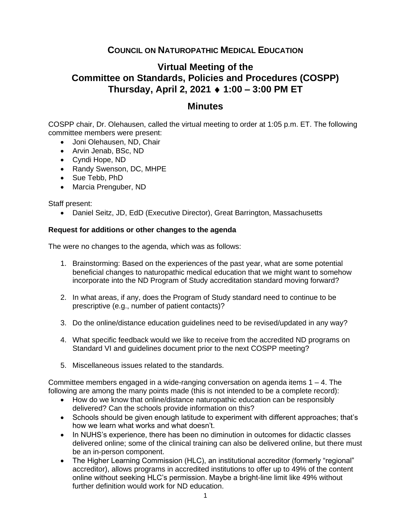## **COUNCIL ON NATUROPATHIC MEDICAL EDUCATION**

## **Virtual Meeting of the Committee on Standards, Policies and Procedures (COSPP) Thursday, April 2, 2021 1:00 – 3:00 PM ET**

## **Minutes**

COSPP chair, Dr. Olehausen, called the virtual meeting to order at 1:05 p.m. ET. The following committee members were present:

- Joni Olehausen, ND, Chair
- Arvin Jenab, BSc, ND
- Cyndi Hope, ND
- Randy Swenson, DC, MHPE
- Sue Tebb, PhD
- Marcia Prenguber, ND

Staff present:

• Daniel Seitz, JD, EdD (Executive Director), Great Barrington, Massachusetts

## **Request for additions or other changes to the agenda**

The were no changes to the agenda, which was as follows:

- 1. Brainstorming: Based on the experiences of the past year, what are some potential beneficial changes to naturopathic medical education that we might want to somehow incorporate into the ND Program of Study accreditation standard moving forward?
- 2. In what areas, if any, does the Program of Study standard need to continue to be prescriptive (e.g., number of patient contacts)?
- 3. Do the online/distance education guidelines need to be revised/updated in any way?
- 4. What specific feedback would we like to receive from the accredited ND programs on Standard VI and guidelines document prior to the next COSPP meeting?
- 5. Miscellaneous issues related to the standards.

Committee members engaged in a wide-ranging conversation on agenda items  $1 - 4$ . The following are among the many points made (this is not intended to be a complete record):

- How do we know that online/distance naturopathic education can be responsibly delivered? Can the schools provide information on this?
- Schools should be given enough latitude to experiment with different approaches; that's how we learn what works and what doesn't.
- In NUHS's experience, there has been no diminution in outcomes for didactic classes delivered online; some of the clinical training can also be delivered online, but there must be an in-person component.
- The Higher Learning Commission (HLC), an institutional accreditor (formerly "regional" accreditor), allows programs in accredited institutions to offer up to 49% of the content online without seeking HLC's permission. Maybe a bright-line limit like 49% without further definition would work for ND education.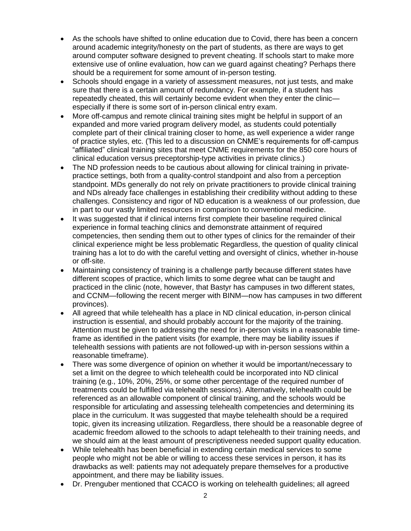- As the schools have shifted to online education due to Covid, there has been a concern around academic integrity/honesty on the part of students, as there are ways to get around computer software designed to prevent cheating. If schools start to make more extensive use of online evaluation, how can we guard against cheating? Perhaps there should be a requirement for some amount of in-person testing.
- Schools should engage in a variety of assessment measures, not just tests, and make sure that there is a certain amount of redundancy. For example, if a student has repeatedly cheated, this will certainly become evident when they enter the clinic especially if there is some sort of in-person clinical entry exam.
- More off-campus and remote clinical training sites might be helpful in support of an expanded and more varied program delivery model, as students could potentially complete part of their clinical training closer to home, as well experience a wider range of practice styles, etc. (This led to a discussion on CNME's requirements for off-campus "affiliated" clinical training sites that meet CNME requirements for the 850 core hours of clinical education versus preceptorship-type activities in private clinics.)
- The ND profession needs to be cautious about allowing for clinical training in privatepractice settings, both from a quality-control standpoint and also from a perception standpoint. MDs generally do not rely on private practitioners to provide clinical training and NDs already face challenges in establishing their credibility without adding to these challenges. Consistency and rigor of ND education is a weakness of our profession, due in part to our vastly limited resources in comparison to conventional medicine.
- It was suggested that if clinical interns first complete their baseline required clinical experience in formal teaching clinics and demonstrate attainment of required competencies, then sending them out to other types of clinics for the remainder of their clinical experience might be less problematic Regardless, the question of quality clinical training has a lot to do with the careful vetting and oversight of clinics, whether in-house or off-site.
- Maintaining consistency of training is a challenge partly because different states have different scopes of practice, which limits to some degree what can be taught and practiced in the clinic (note, however, that Bastyr has campuses in two different states, and CCNM—following the recent merger with BINM—now has campuses in two different provinces).
- All agreed that while telehealth has a place in ND clinical education, in-person clinical instruction is essential, and should probably account for the majority of the training. Attention must be given to addressing the need for in-person visits in a reasonable timeframe as identified in the patient visits (for example, there may be liability issues if telehealth sessions with patients are not followed-up with in-person sessions within a reasonable timeframe).
- There was some divergence of opinion on whether it would be important/necessary to set a limit on the degree to which telehealth could be incorporated into ND clinical training (e.g., 10%, 20%, 25%, or some other percentage of the required number of treatments could be fulfilled via telehealth sessions). Alternatively, telehealth could be referenced as an allowable component of clinical training, and the schools would be responsible for articulating and assessing telehealth competencies and determining its place in the curriculum. It was suggested that maybe telehealth should be a required topic, given its increasing utilization. Regardless, there should be a reasonable degree of academic freedom allowed to the schools to adapt telehealth to their training needs, and we should aim at the least amount of prescriptiveness needed support quality education.
- While telehealth has been beneficial in extending certain medical services to some people who might not be able or willing to access these services in person, it has its drawbacks as well: patients may not adequately prepare themselves for a productive appointment, and there may be liability issues.
- Dr. Prenguber mentioned that CCACO is working on telehealth guidelines; all agreed